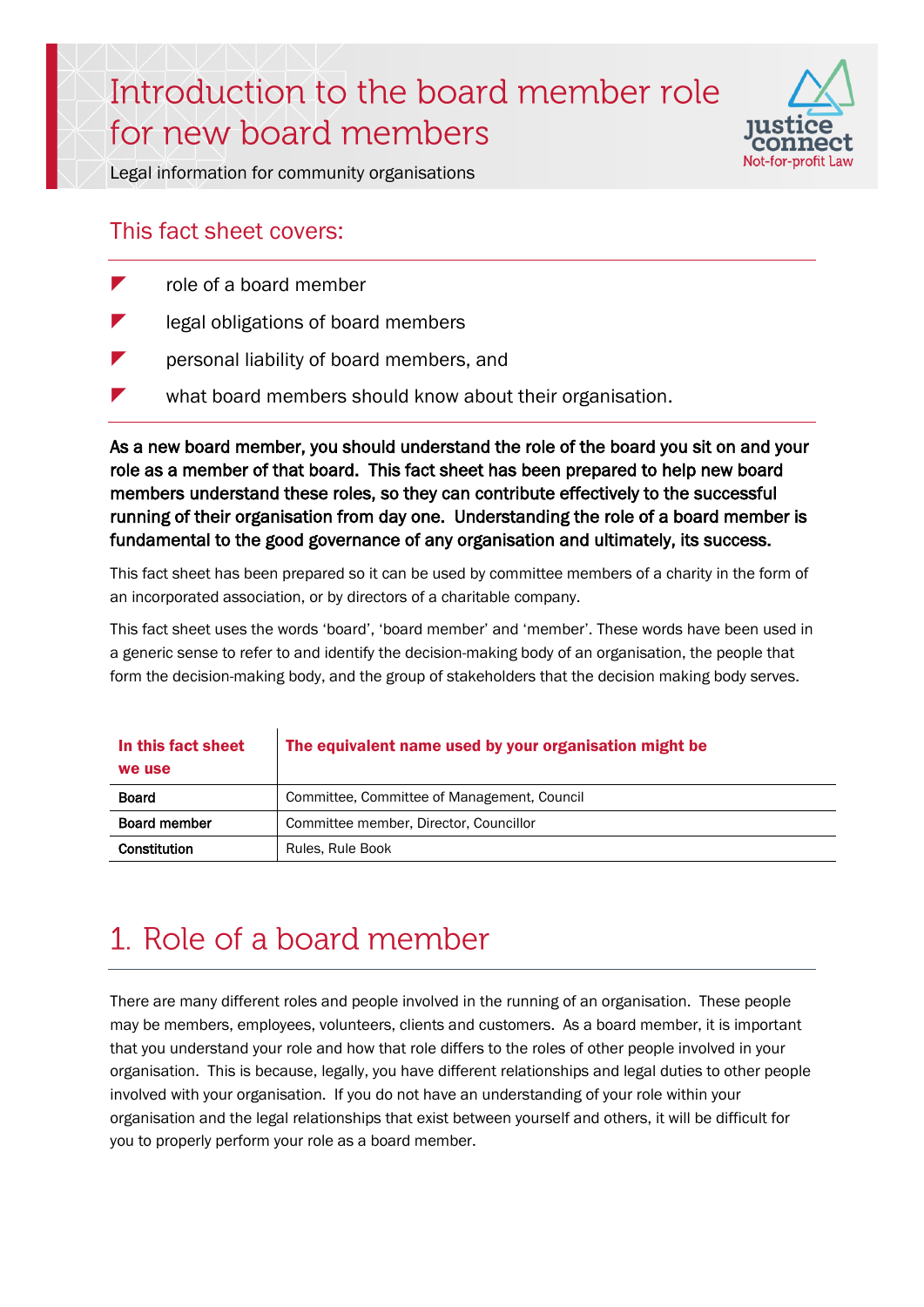# Introduction to the board member role for new board members



Legal information for community organisations

#### This fact sheet covers:

- role of a board member
- legal obligations of board members
- **Parther** personal liability of board members, and
- what board members should know about their organisation.

As a new board member, you should understand the role of the board you sit on and your role as a member of that board. This fact sheet has been prepared to help new board members understand these roles, so they can contribute effectively to the successful running of their organisation from day one. Understanding the role of a board member is fundamental to the good governance of any organisation and ultimately, its success.

This fact sheet has been prepared so it can be used by committee members of a charity in the form of an incorporated association, or by directors of a charitable company.

This fact sheet uses the words 'board', 'board member' and 'member'. These words have been used in a generic sense to refer to and identify the decision-making body of an organisation, the people that form the decision-making body, and the group of stakeholders that the decision making body serves.

| In this fact sheet<br>we use | The equivalent name used by your organisation might be |
|------------------------------|--------------------------------------------------------|
| <b>Board</b>                 | Committee, Committee of Management, Council            |
| <b>Board member</b>          | Committee member, Director, Councillor                 |
| Constitution                 | Rules, Rule Book                                       |

## 1. Role of a board member

There are many different roles and people involved in the running of an organisation. These people may be members, employees, volunteers, clients and customers. As a board member, it is important that you understand your role and how that role differs to the roles of other people involved in your organisation. This is because, legally, you have different relationships and legal duties to other people involved with your organisation. If you do not have an understanding of your role within your organisation and the legal relationships that exist between yourself and others, it will be difficult for you to properly perform your role as a board member.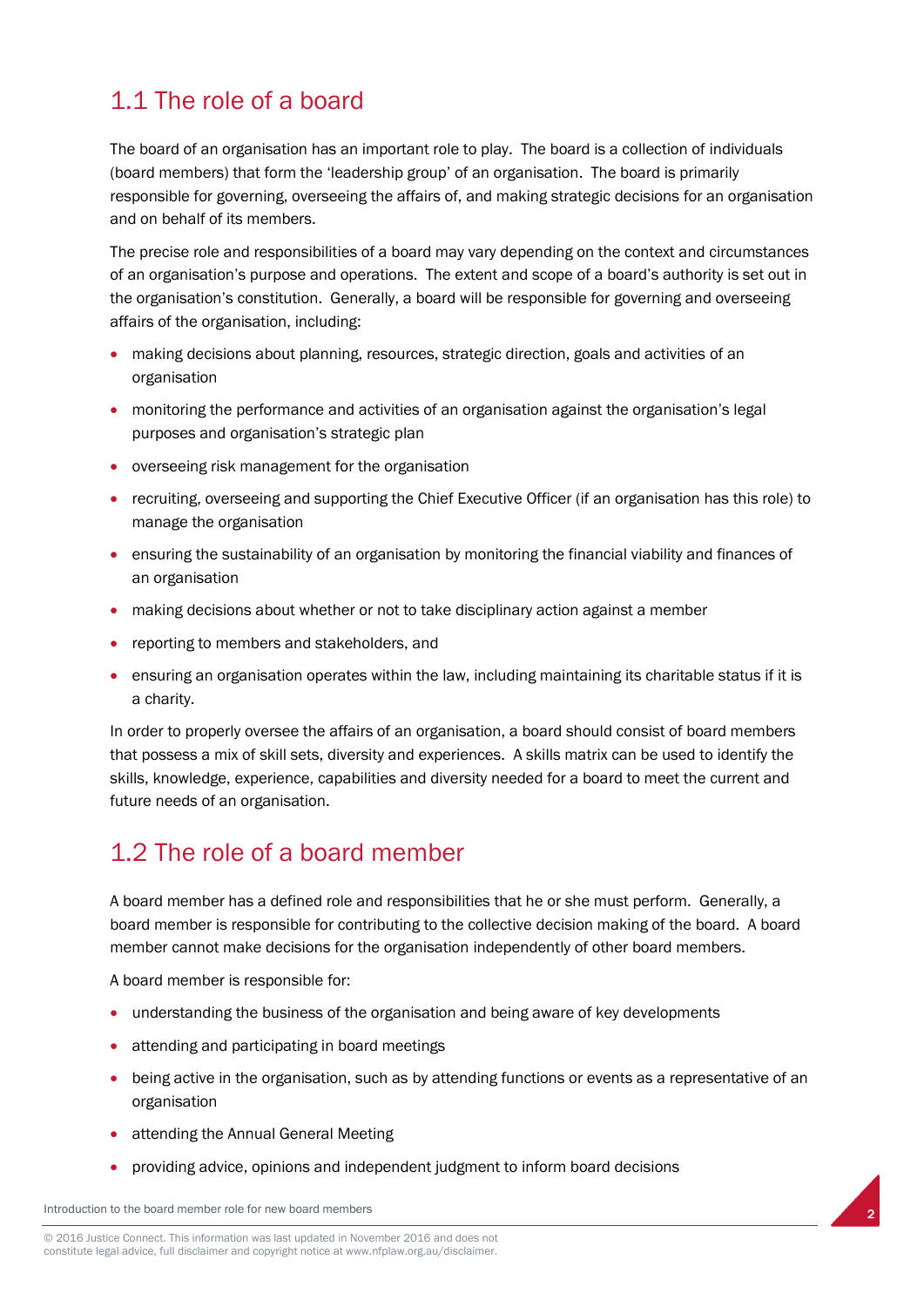## 1.1 The role of a board

The board of an organisation has an important role to play. The board is a collection of individuals (board members) that form the 'leadership group' of an organisation. The board is primarily responsible for governing, overseeing the affairs of, and making strategic decisions for an organisation and on behalf of its members.

The precise role and responsibilities of a board may vary depending on the context and circumstances of an organisation's purpose and operations. The extent and scope of a board's authority is set out in the organisation's constitution. Generally, a board will be responsible for governing and overseeing affairs of the organisation, including:

- making decisions about planning, resources, strategic direction, goals and activities of an organisation
- monitoring the performance and activities of an organisation against the organisation's legal purposes and organisation's strategic plan
- overseeing risk management for the organisation
- recruiting, overseeing and supporting the Chief Executive Officer (if an organisation has this role) to manage the organisation
- ensuring the sustainability of an organisation by monitoring the financial viability and finances of an organisation
- making decisions about whether or not to take disciplinary action against a member
- reporting to members and stakeholders, and
- ensuring an organisation operates within the law, including maintaining its charitable status if it is a charity.

In order to properly oversee the affairs of an organisation, a board should consist of board members that possess a mix of skill sets, diversity and experiences. A skills matrix can be used to identify the skills, knowledge, experience, capabilities and diversity needed for a board to meet the current and future needs of an organisation.

## 1.2 The role of a board member

A board member has a defined role and responsibilities that he or she must perform. Generally, a board member is responsible for contributing to the collective decision making of the board. A board member cannot make decisions for the organisation independently of other board members.

A board member is responsible for:

- understanding the business of the organisation and being aware of key developments
- attending and participating in board meetings
- being active in the organisation, such as by attending functions or events as a representative of an organisation

2

- attending the Annual General Meeting
- providing advice, opinions and independent judgment to inform board decisions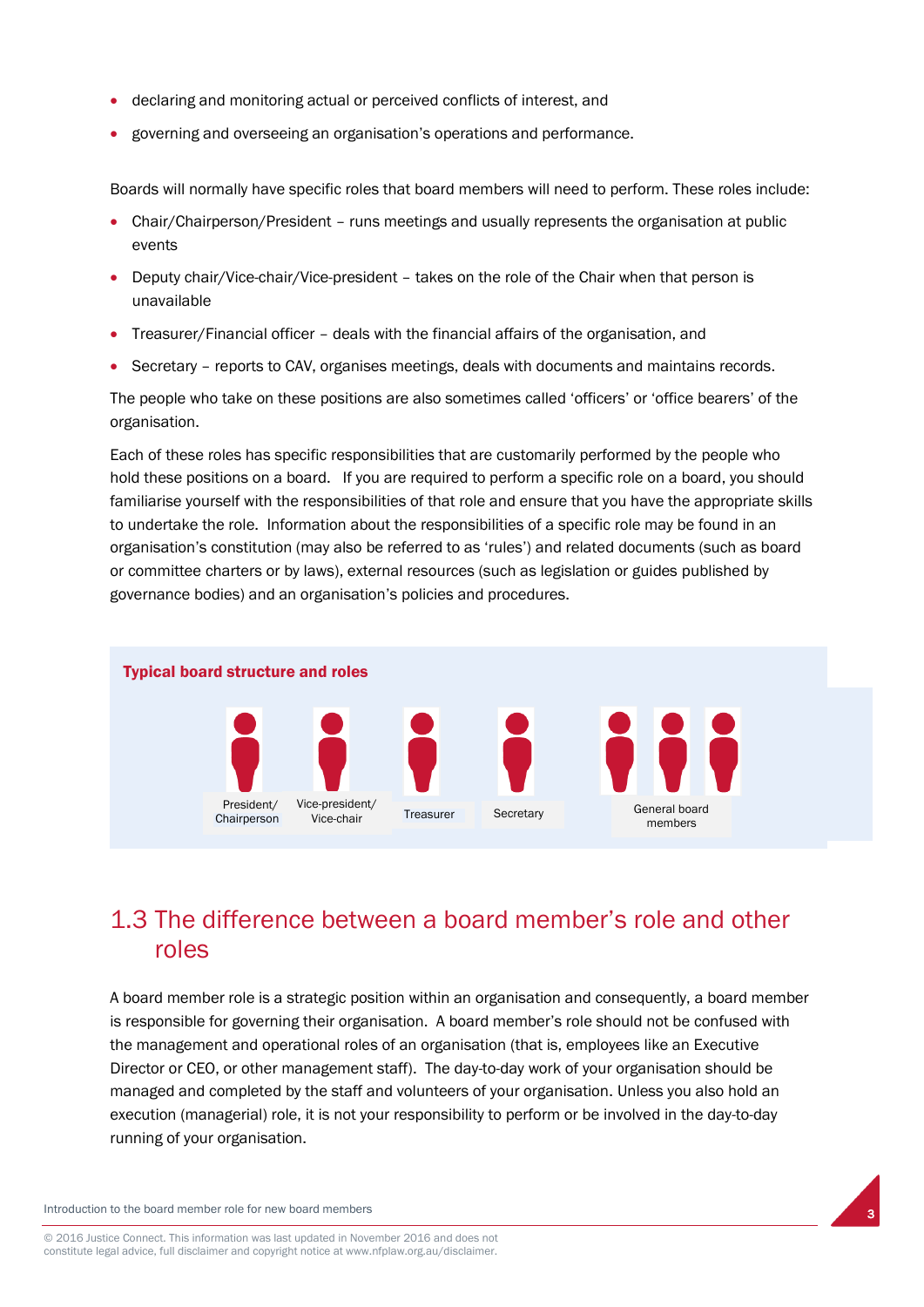- declaring and monitoring actual or perceived conflicts of interest, and
- governing and overseeing an organisation's operations and performance.

Boards will normally have specific roles that board members will need to perform. These roles include:

- Chair/Chairperson/President runs meetings and usually represents the organisation at public events
- Deputy chair/Vice-chair/Vice-president takes on the role of the Chair when that person is unavailable
- Treasurer/Financial officer deals with the financial affairs of the organisation, and
- Secretary reports to CAV, organises meetings, deals with documents and maintains records.

The people who take on these positions are also sometimes called 'officers' or 'office bearers' of the organisation.

Each of these roles has specific responsibilities that are customarily performed by the people who hold these positions on a board. If you are required to perform a specific role on a board, you should familiarise yourself with the responsibilities of that role and ensure that you have the appropriate skills to undertake the role. Information about the responsibilities of a specific role may be found in an organisation's constitution (may also be referred to as 'rules') and related documents (such as board or committee charters or by laws), external resources (such as legislation or guides published by governance bodies) and an organisation's policies and procedures.



## 1.3 The difference between a board member's role and other roles

A board member role is a strategic position within an organisation and consequently, a board member is responsible for governing their organisation. A board member's role should not be confused with the management and operational roles of an organisation (that is, employees like an Executive Director or CEO, or other management staff). The day-to-day work of your organisation should be managed and completed by the staff and volunteers of your organisation. Unless you also hold an execution (managerial) role, it is not your responsibility to perform or be involved in the day-to-day running of your organisation.

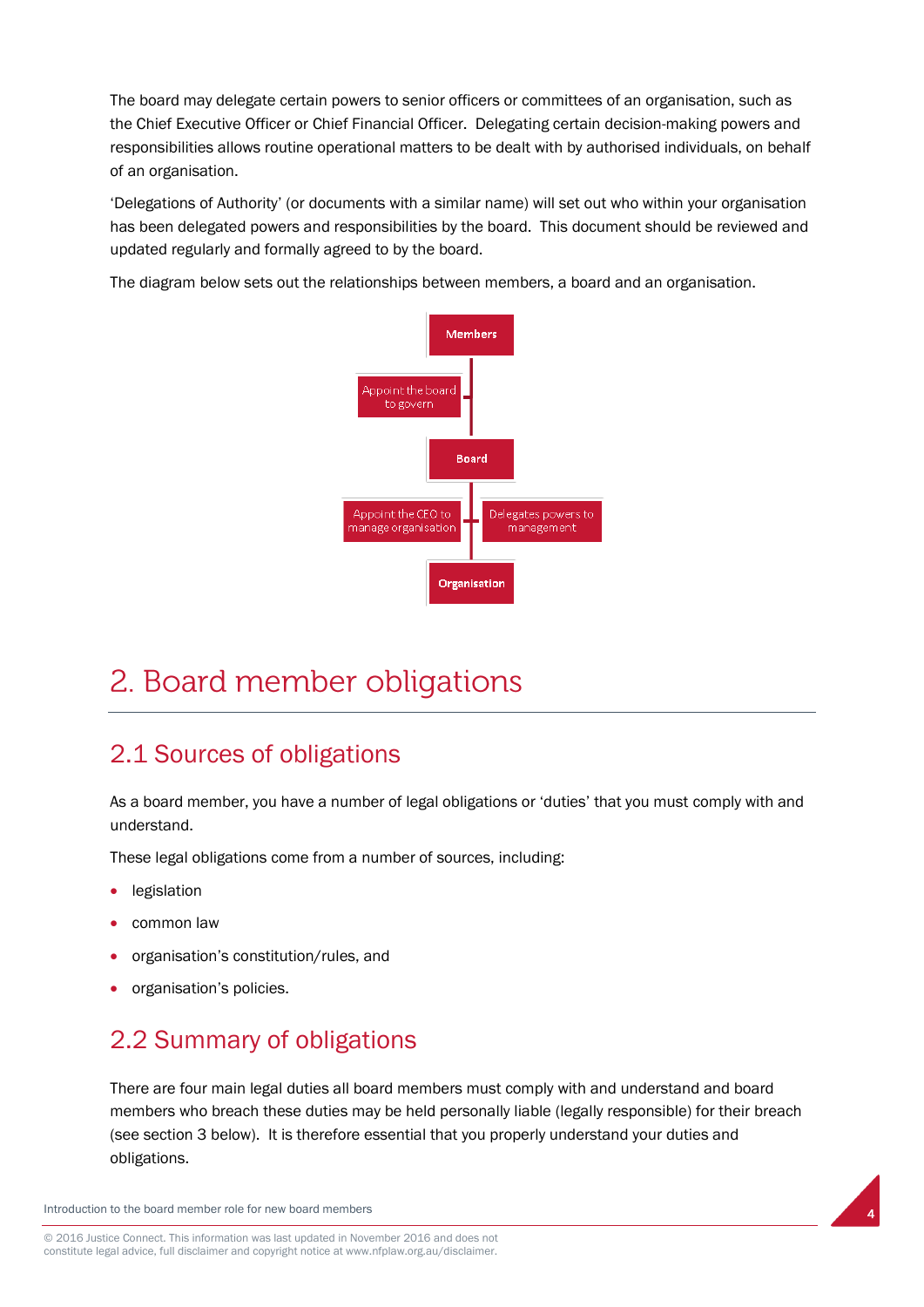The board may delegate certain powers to senior officers or committees of an organisation, such as the Chief Executive Officer or Chief Financial Officer. Delegating certain decision-making powers and responsibilities allows routine operational matters to be dealt with by authorised individuals, on behalf of an organisation.

'Delegations of Authority' (or documents with a similar name) will set out who within your organisation has been delegated powers and responsibilities by the board. This document should be reviewed and updated regularly and formally agreed to by the board.

The diagram below sets out the relationships between members, a board and an organisation.



## 2. Board member obligations

## 2.1 Sources of obligations

As a board member, you have a number of legal obligations or 'duties' that you must comply with and understand.

These legal obligations come from a number of sources, including:

- **•** legislation
- common law
- organisation's constitution/rules, and
- organisation's policies.

## 2.2 Summary of obligations

There are four main legal duties all board members must comply with and understand and board members who breach these duties may be held personally liable (legally responsible) for their breach (see section 3 below). It is therefore essential that you properly understand your duties and obligations.

4

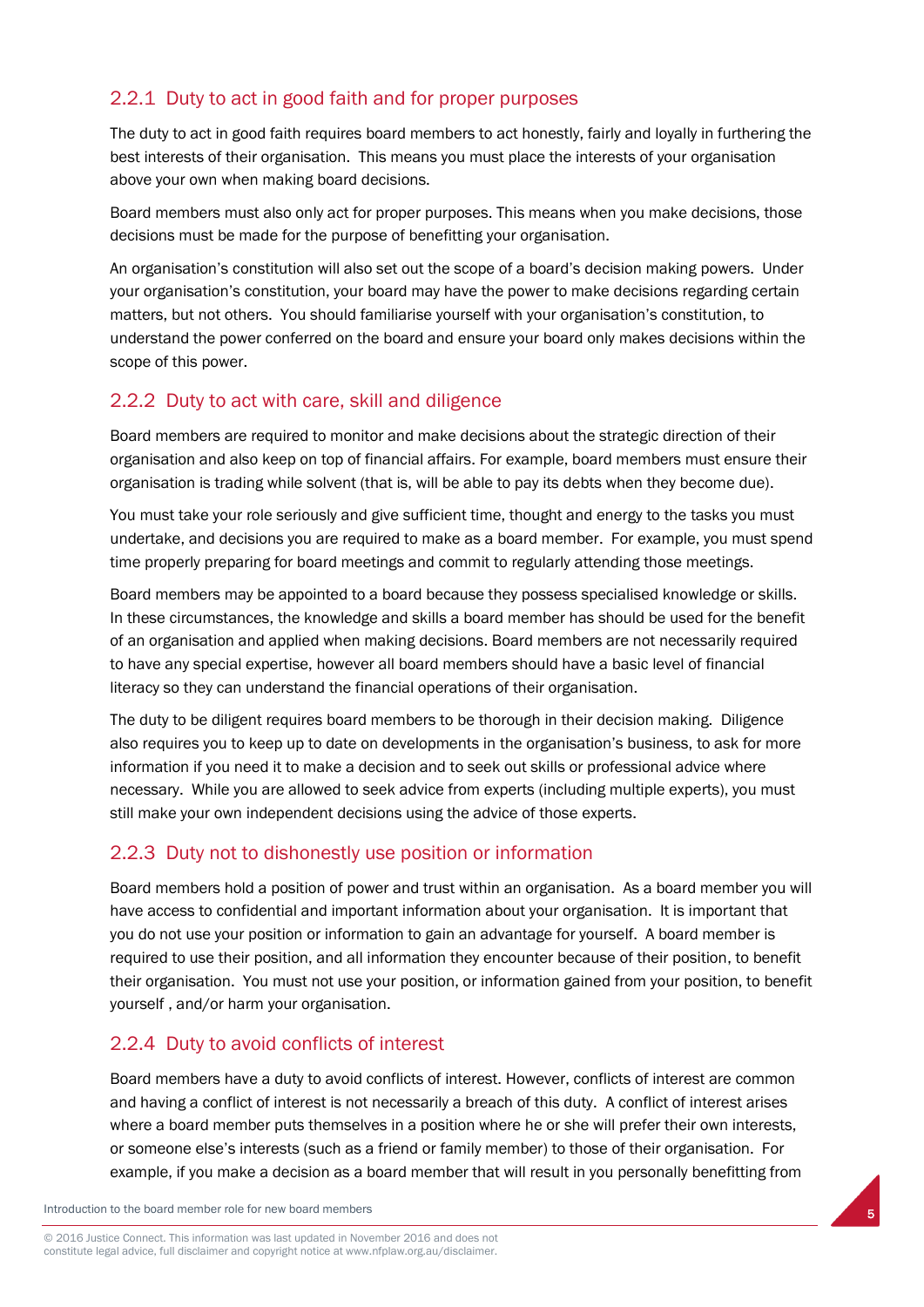#### 2.2.1 Duty to act in good faith and for proper purposes

The duty to act in good faith requires board members to act honestly, fairly and loyally in furthering the best interests of their organisation. This means you must place the interests of your organisation above your own when making board decisions.

Board members must also only act for proper purposes. This means when you make decisions, those decisions must be made for the purpose of benefitting your organisation.

An organisation's constitution will also set out the scope of a board's decision making powers. Under your organisation's constitution, your board may have the power to make decisions regarding certain matters, but not others. You should familiarise yourself with your organisation's constitution, to understand the power conferred on the board and ensure your board only makes decisions within the scope of this power.

#### 2.2.2 Duty to act with care, skill and diligence

Board members are required to monitor and make decisions about the strategic direction of their organisation and also keep on top of financial affairs. For example, board members must ensure their organisation is trading while solvent (that is, will be able to pay its debts when they become due).

You must take your role seriously and give sufficient time, thought and energy to the tasks you must undertake, and decisions you are required to make as a board member. For example, you must spend time properly preparing for board meetings and commit to regularly attending those meetings.

Board members may be appointed to a board because they possess specialised knowledge or skills. In these circumstances, the knowledge and skills a board member has should be used for the benefit of an organisation and applied when making decisions. Board members are not necessarily required to have any special expertise, however all board members should have a basic level of financial literacy so they can understand the financial operations of their organisation.

The duty to be diligent requires board members to be thorough in their decision making. Diligence also requires you to keep up to date on developments in the organisation's business, to ask for more information if you need it to make a decision and to seek out skills or professional advice where necessary. While you are allowed to seek advice from experts (including multiple experts), you must still make your own independent decisions using the advice of those experts.

#### 2.2.3 Duty not to dishonestly use position or information

Board members hold a position of power and trust within an organisation. As a board member you will have access to confidential and important information about your organisation. It is important that you do not use your position or information to gain an advantage for yourself. A board member is required to use their position, and all information they encounter because of their position, to benefit their organisation. You must not use your position, or information gained from your position, to benefit yourself , and/or harm your organisation.

#### 2.2.4 Duty to avoid conflicts of interest

Board members have a duty to avoid conflicts of interest. However, conflicts of interest are common and having a conflict of interest is not necessarily a breach of this duty. A conflict of interest arises where a board member puts themselves in a position where he or she will prefer their own interests, or someone else's interests (such as a friend or family member) to those of their organisation. For example, if you make a decision as a board member that will result in you personally benefitting from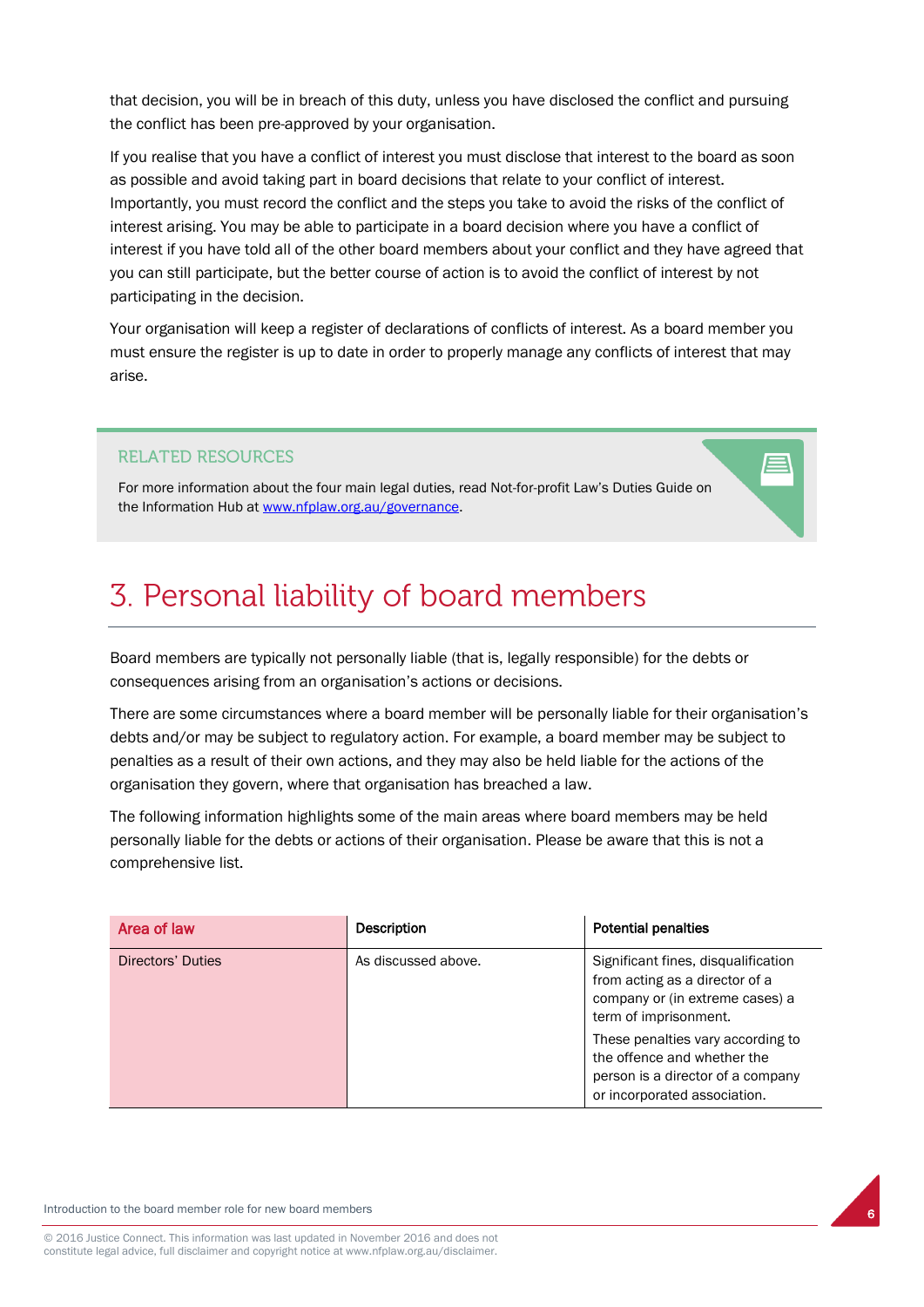that decision, you will be in breach of this duty, unless you have disclosed the conflict and pursuing the conflict has been pre-approved by your organisation.

If you realise that you have a conflict of interest you must disclose that interest to the board as soon as possible and avoid taking part in board decisions that relate to your conflict of interest. Importantly, you must record the conflict and the steps you take to avoid the risks of the conflict of interest arising. You may be able to participate in a board decision where you have a conflict of interest if you have told all of the other board members about your conflict and they have agreed that you can still participate, but the better course of action is to avoid the conflict of interest by not participating in the decision.

Your organisation will keep a register of declarations of conflicts of interest. As a board member you must ensure the register is up to date in order to properly manage any conflicts of interest that may arise.

#### **RELATED RESOURCES**

For more information about the four main legal duties, read Not-for-profit Law's Duties Guide on the Information Hub a[t www.nfplaw.org.au/governance.](http://www.nfplaw.org.au/governance)

## 3. Personal liability of board members

Board members are typically not personally liable (that is, legally responsible) for the debts or consequences arising from an organisation's actions or decisions.

There are some circumstances where a board member will be personally liable for their organisation's debts and/or may be subject to regulatory action. For example, a board member may be subject to penalties as a result of their own actions, and they may also be held liable for the actions of the organisation they govern, where that organisation has breached a law.

The following information highlights some of the main areas where board members may be held personally liable for the debts or actions of their organisation. Please be aware that this is not a comprehensive list.

| Area of law       | <b>Description</b>  | <b>Potential penalties</b>                                                                                                                                                                                                                                                 |
|-------------------|---------------------|----------------------------------------------------------------------------------------------------------------------------------------------------------------------------------------------------------------------------------------------------------------------------|
| Directors' Duties | As discussed above. | Significant fines, disqualification<br>from acting as a director of a<br>company or (in extreme cases) a<br>term of imprisonment.<br>These penalties vary according to<br>the offence and whether the<br>person is a director of a company<br>or incorporated association. |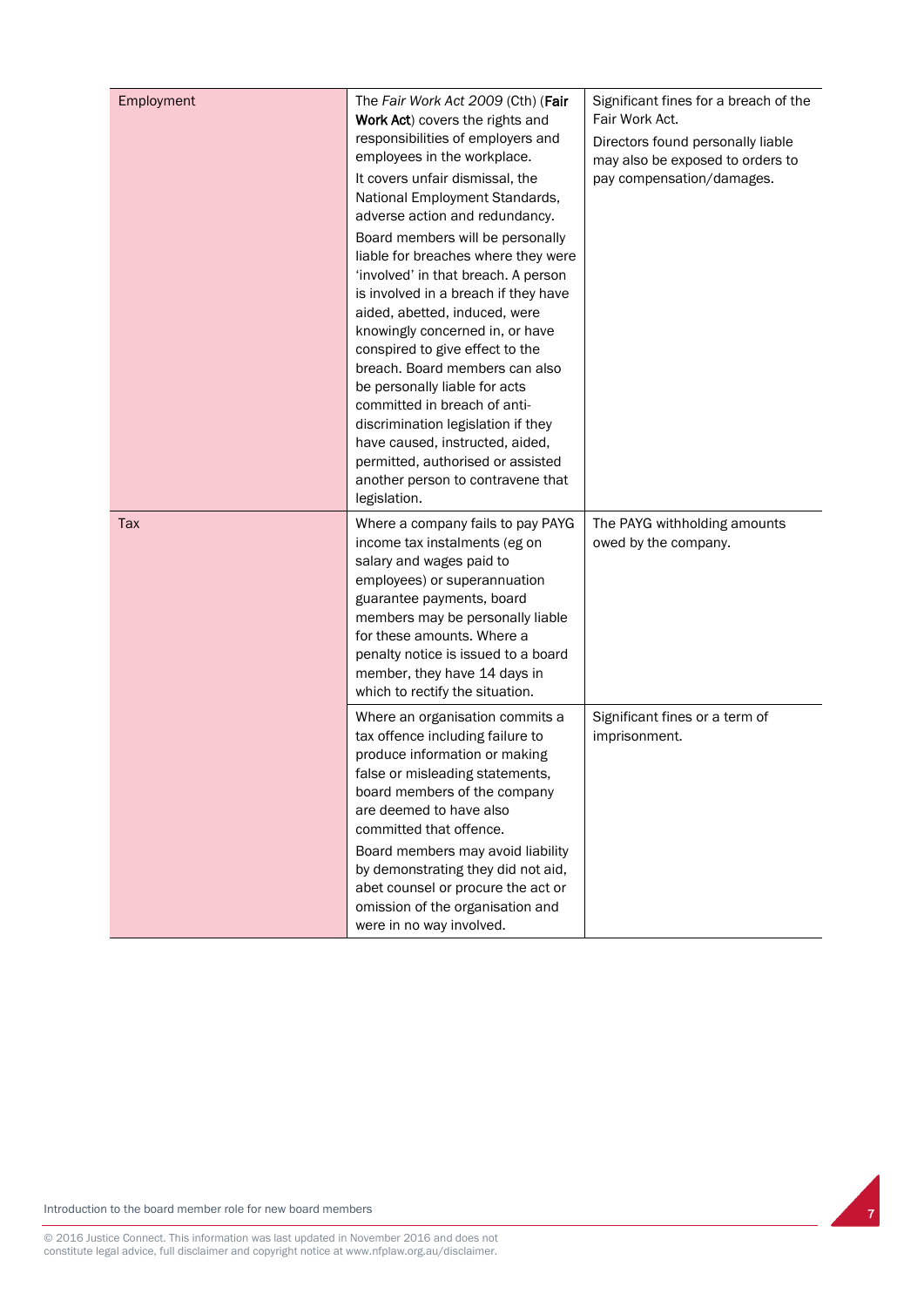| Employment | The Fair Work Act 2009 (Cth) (Fair<br>Work Act) covers the rights and<br>responsibilities of employers and<br>employees in the workplace.<br>It covers unfair dismissal, the<br>National Employment Standards,<br>adverse action and redundancy.<br>Board members will be personally<br>liable for breaches where they were<br>'involved' in that breach. A person<br>is involved in a breach if they have<br>aided, abetted, induced, were<br>knowingly concerned in, or have<br>conspired to give effect to the<br>breach. Board members can also<br>be personally liable for acts<br>committed in breach of anti-<br>discrimination legislation if they<br>have caused, instructed, aided,<br>permitted, authorised or assisted<br>another person to contravene that<br>legislation. | Significant fines for a breach of the<br>Fair Work Act.<br>Directors found personally liable<br>may also be exposed to orders to<br>pay compensation/damages. |
|------------|-----------------------------------------------------------------------------------------------------------------------------------------------------------------------------------------------------------------------------------------------------------------------------------------------------------------------------------------------------------------------------------------------------------------------------------------------------------------------------------------------------------------------------------------------------------------------------------------------------------------------------------------------------------------------------------------------------------------------------------------------------------------------------------------|---------------------------------------------------------------------------------------------------------------------------------------------------------------|
| Tax        | Where a company fails to pay PAYG<br>income tax instalments (eg on<br>salary and wages paid to<br>employees) or superannuation<br>guarantee payments, board<br>members may be personally liable<br>for these amounts. Where a<br>penalty notice is issued to a board<br>member, they have 14 days in<br>which to rectify the situation.                                                                                                                                                                                                                                                                                                                                                                                                                                                 | The PAYG withholding amounts<br>owed by the company.                                                                                                          |
|            | Where an organisation commits a<br>tax offence including failure to<br>produce information or making<br>false or misleading statements,<br>board members of the company<br>are deemed to have also<br>committed that offence.<br>Board members may avoid liability<br>by demonstrating they did not aid,<br>abet counsel or procure the act or<br>omission of the organisation and<br>were in no way involved.                                                                                                                                                                                                                                                                                                                                                                          | Significant fines or a term of<br>imprisonment.                                                                                                               |

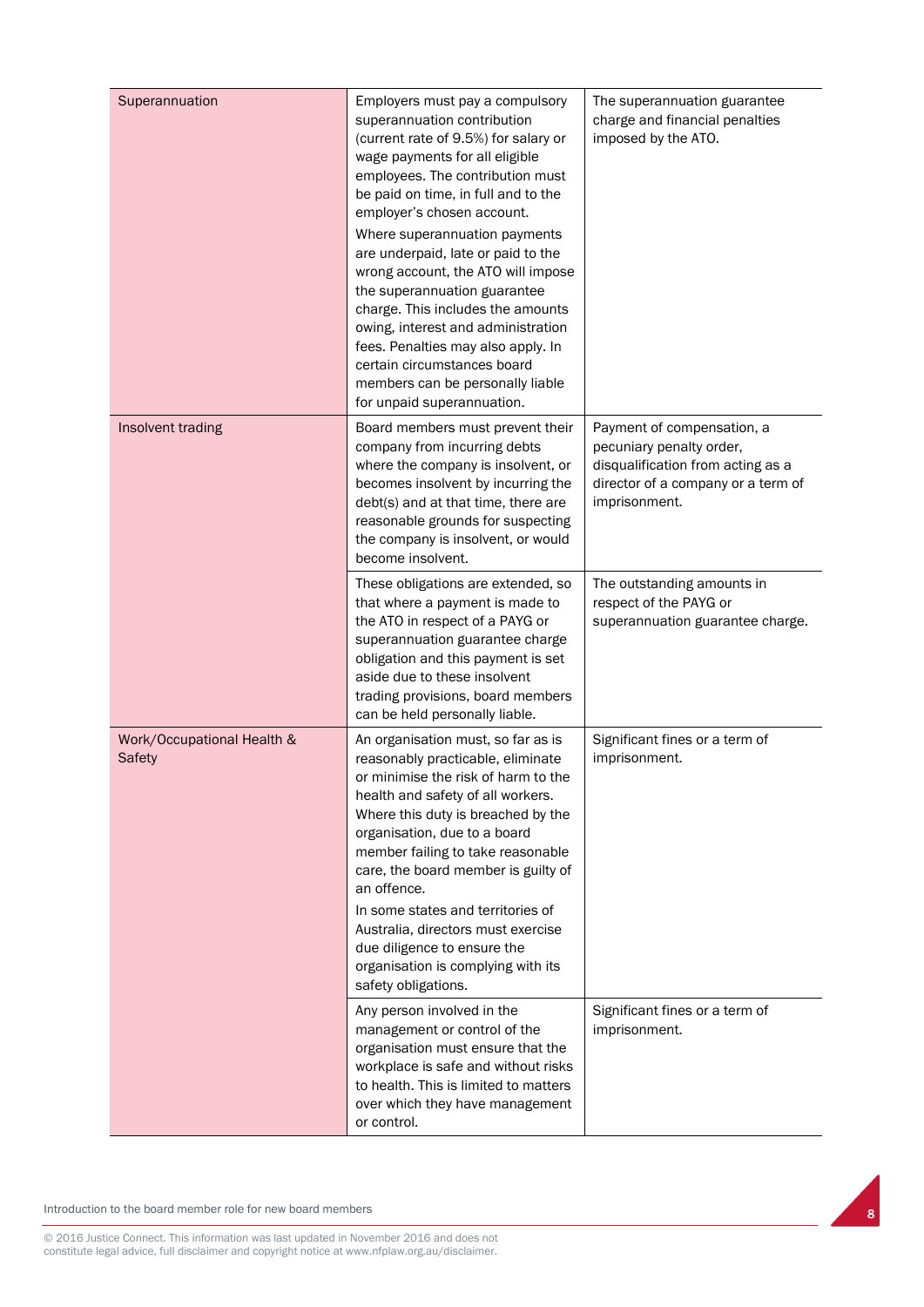| Superannuation                              | Employers must pay a compulsory<br>superannuation contribution<br>(current rate of 9.5%) for salary or<br>wage payments for all eligible<br>employees. The contribution must<br>be paid on time, in full and to the<br>employer's chosen account.<br>Where superannuation payments                                                                                                                                                                                                          | The superannuation guarantee<br>charge and financial penalties<br>imposed by the ATO.                                                              |
|---------------------------------------------|---------------------------------------------------------------------------------------------------------------------------------------------------------------------------------------------------------------------------------------------------------------------------------------------------------------------------------------------------------------------------------------------------------------------------------------------------------------------------------------------|----------------------------------------------------------------------------------------------------------------------------------------------------|
|                                             | are underpaid, late or paid to the<br>wrong account, the ATO will impose<br>the superannuation guarantee<br>charge. This includes the amounts<br>owing, interest and administration<br>fees. Penalties may also apply. In<br>certain circumstances board<br>members can be personally liable<br>for unpaid superannuation.                                                                                                                                                                  |                                                                                                                                                    |
| Insolvent trading                           | Board members must prevent their<br>company from incurring debts<br>where the company is insolvent, or<br>becomes insolvent by incurring the<br>debt(s) and at that time, there are<br>reasonable grounds for suspecting<br>the company is insolvent, or would<br>become insolvent.                                                                                                                                                                                                         | Payment of compensation, a<br>pecuniary penalty order,<br>disqualification from acting as a<br>director of a company or a term of<br>imprisonment. |
|                                             | These obligations are extended, so<br>that where a payment is made to<br>the ATO in respect of a PAYG or<br>superannuation guarantee charge<br>obligation and this payment is set<br>aside due to these insolvent<br>trading provisions, board members<br>can be held personally liable.                                                                                                                                                                                                    | The outstanding amounts in<br>respect of the PAYG or<br>superannuation guarantee charge.                                                           |
| Work/Occupational Health &<br><b>Safety</b> | An organisation must, so far as is<br>reasonably practicable, eliminate<br>or minimise the risk of harm to the<br>health and safety of all workers.<br>Where this duty is breached by the<br>organisation, due to a board<br>member failing to take reasonable<br>care, the board member is guilty of<br>an offence.<br>In some states and territories of<br>Australia, directors must exercise<br>due diligence to ensure the<br>organisation is complying with its<br>safety obligations. | Significant fines or a term of<br>imprisonment.                                                                                                    |
|                                             | Any person involved in the<br>management or control of the<br>organisation must ensure that the<br>workplace is safe and without risks<br>to health. This is limited to matters<br>over which they have management<br>or control.                                                                                                                                                                                                                                                           | Significant fines or a term of<br>imprisonment.                                                                                                    |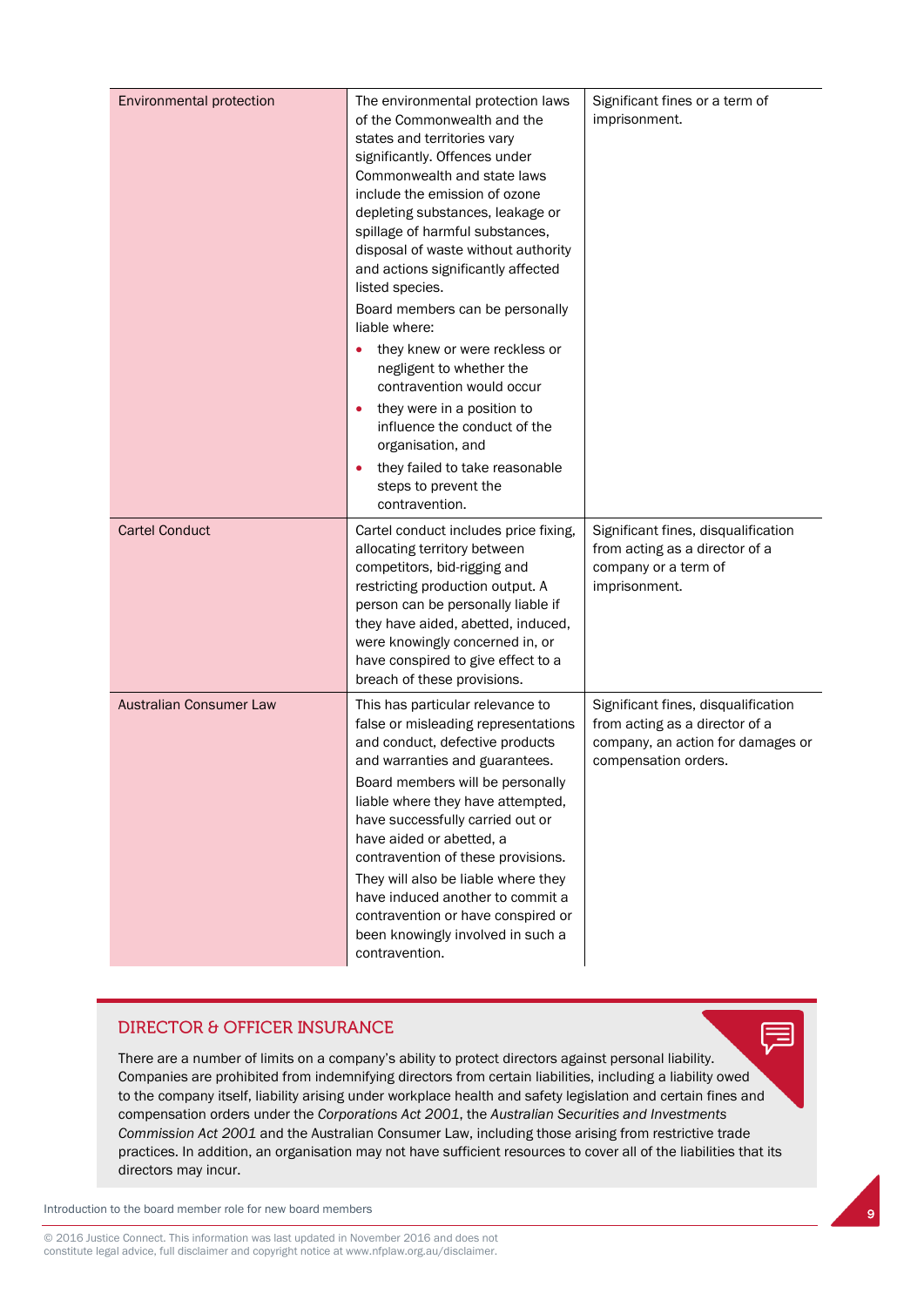| <b>Environmental protection</b> | The environmental protection laws<br>of the Commonwealth and the<br>states and territories vary<br>significantly. Offences under<br>Commonwealth and state laws<br>include the emission of ozone<br>depleting substances, leakage or<br>spillage of harmful substances,<br>disposal of waste without authority<br>and actions significantly affected<br>listed species.<br>Board members can be personally<br>liable where:<br>they knew or were reckless or<br>negligent to whether the<br>contravention would occur<br>they were in a position to<br>$\bullet$<br>influence the conduct of the<br>organisation, and<br>they failed to take reasonable<br>steps to prevent the<br>contravention. | Significant fines or a term of<br>imprisonment.                                                                                    |
|---------------------------------|---------------------------------------------------------------------------------------------------------------------------------------------------------------------------------------------------------------------------------------------------------------------------------------------------------------------------------------------------------------------------------------------------------------------------------------------------------------------------------------------------------------------------------------------------------------------------------------------------------------------------------------------------------------------------------------------------|------------------------------------------------------------------------------------------------------------------------------------|
| <b>Cartel Conduct</b>           | Cartel conduct includes price fixing,<br>allocating territory between<br>competitors, bid-rigging and<br>restricting production output. A<br>person can be personally liable if<br>they have aided, abetted, induced,<br>were knowingly concerned in, or<br>have conspired to give effect to a<br>breach of these provisions.                                                                                                                                                                                                                                                                                                                                                                     | Significant fines, disqualification<br>from acting as a director of a<br>company or a term of<br>imprisonment.                     |
| <b>Australian Consumer Law</b>  | This has particular relevance to<br>false or misleading representations<br>and conduct, defective products<br>and warranties and guarantees.<br>Board members will be personally<br>liable where they have attempted,<br>have successfully carried out or<br>have aided or abetted, a<br>contravention of these provisions.<br>They will also be liable where they<br>have induced another to commit a<br>contravention or have conspired or<br>been knowingly involved in such a<br>contravention.                                                                                                                                                                                               | Significant fines, disqualification<br>from acting as a director of a<br>company, an action for damages or<br>compensation orders. |

#### **DIRECTOR & OFFICER INSURANCE**

There are a number of limits on a company's ability to protect directors against personal liability. Companies are prohibited from indemnifying directors from certain liabilities, including a liability owed to the company itself, liability arising under workplace health and safety legislation and certain fines and compensation orders under the *Corporations Act 2001*, the *Australian Securities and Investments Commission Act 2001* and the Australian Consumer Law, including those arising from restrictive trade practices. In addition, an organisation may not have sufficient resources to cover all of the liabilities that its directors may incur.

Introduction to the board member role for new board members

© 2016 Justice Connect. This information was last updated in November 2016 and does not constitute legal advice, full disclaimer and copyright notice at www.nfplaw.org.au/disclaimer.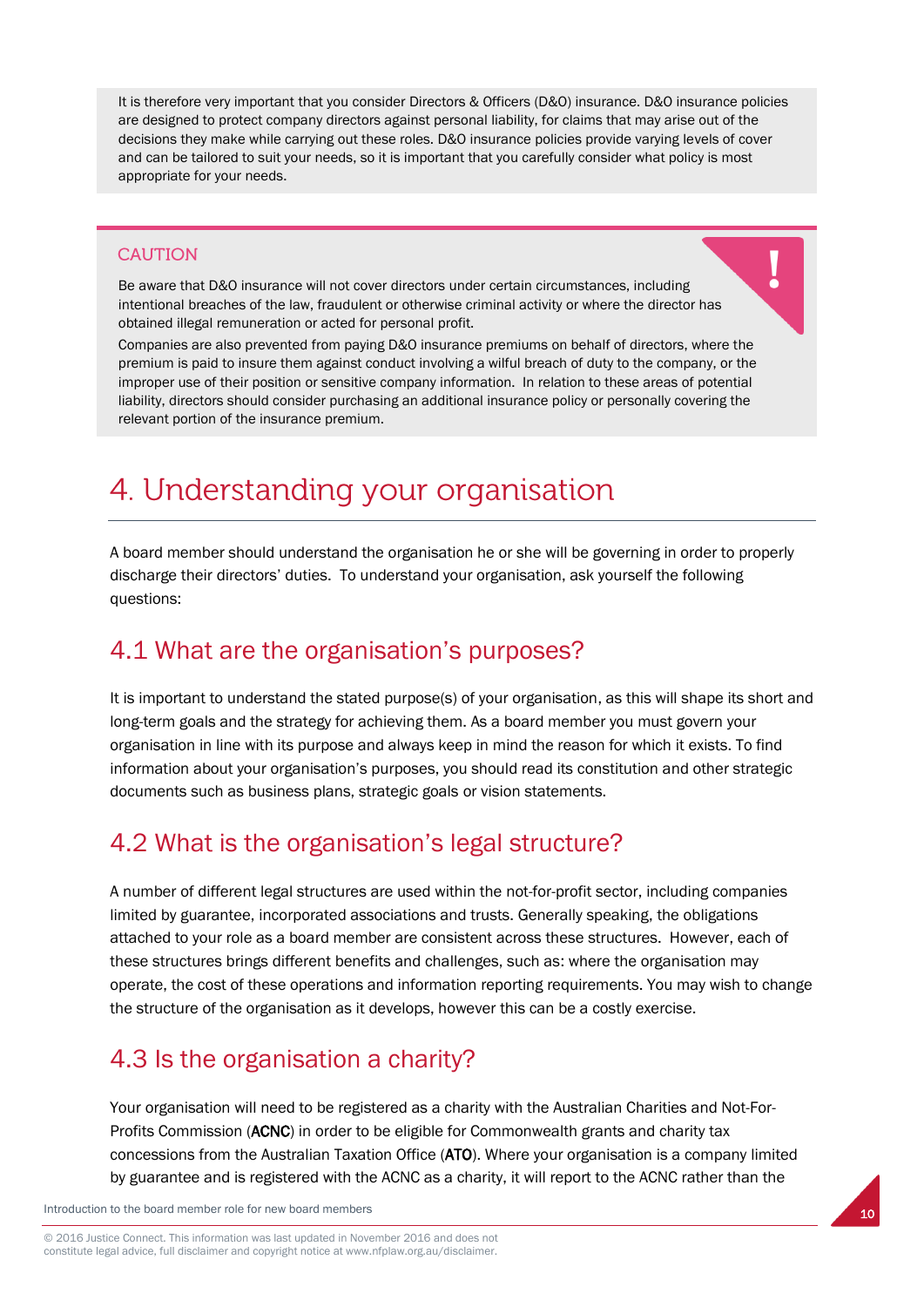It is therefore very important that you consider Directors & Officers (D&O) insurance. D&O insurance policies are designed to protect company directors against personal liability, for claims that may arise out of the decisions they make while carrying out these roles. D&O insurance policies provide varying levels of cover and can be tailored to suit your needs, so it is important that you carefully consider what policy is most appropriate for your needs.

#### **CAUTION**

Be aware that D&O insurance will not cover directors under certain circumstances, including intentional breaches of the law, fraudulent or otherwise criminal activity or where the director has obtained illegal remuneration or acted for personal profit.

Companies are also prevented from paying D&O insurance premiums on behalf of directors, where the premium is paid to insure them against conduct involving a wilful breach of duty to the company, or the improper use of their position or sensitive company information. In relation to these areas of potential liability, directors should consider purchasing an additional insurance policy or personally covering the relevant portion of the insurance premium.

## 4. Understanding your organisation

A board member should understand the organisation he or she will be governing in order to properly discharge their directors' duties. To understand your organisation, ask yourself the following questions:

#### 4.1 What are the organisation's purposes?

It is important to understand the stated purpose(s) of your organisation, as this will shape its short and long-term goals and the strategy for achieving them. As a board member you must govern your organisation in line with its purpose and always keep in mind the reason for which it exists. To find information about your organisation's purposes, you should read its constitution and other strategic documents such as business plans, strategic goals or vision statements.

## 4.2 What is the organisation's legal structure?

A number of different legal structures are used within the not-for-profit sector, including companies limited by guarantee, incorporated associations and trusts. Generally speaking, the obligations attached to your role as a board member are consistent across these structures. However, each of these structures brings different benefits and challenges, such as: where the organisation may operate, the cost of these operations and information reporting requirements. You may wish to change the structure of the organisation as it develops, however this can be a costly exercise.

#### 4.3 Is the organisation a charity?

Your organisation will need to be registered as a charity with the Australian Charities and Not-For-Profits Commission (ACNC) in order to be eligible for Commonwealth grants and charity tax concessions from the Australian Taxation Office (ATO). Where your organisation is a company limited by guarantee and is registered with the ACNC as a charity, it will report to the ACNC rather than the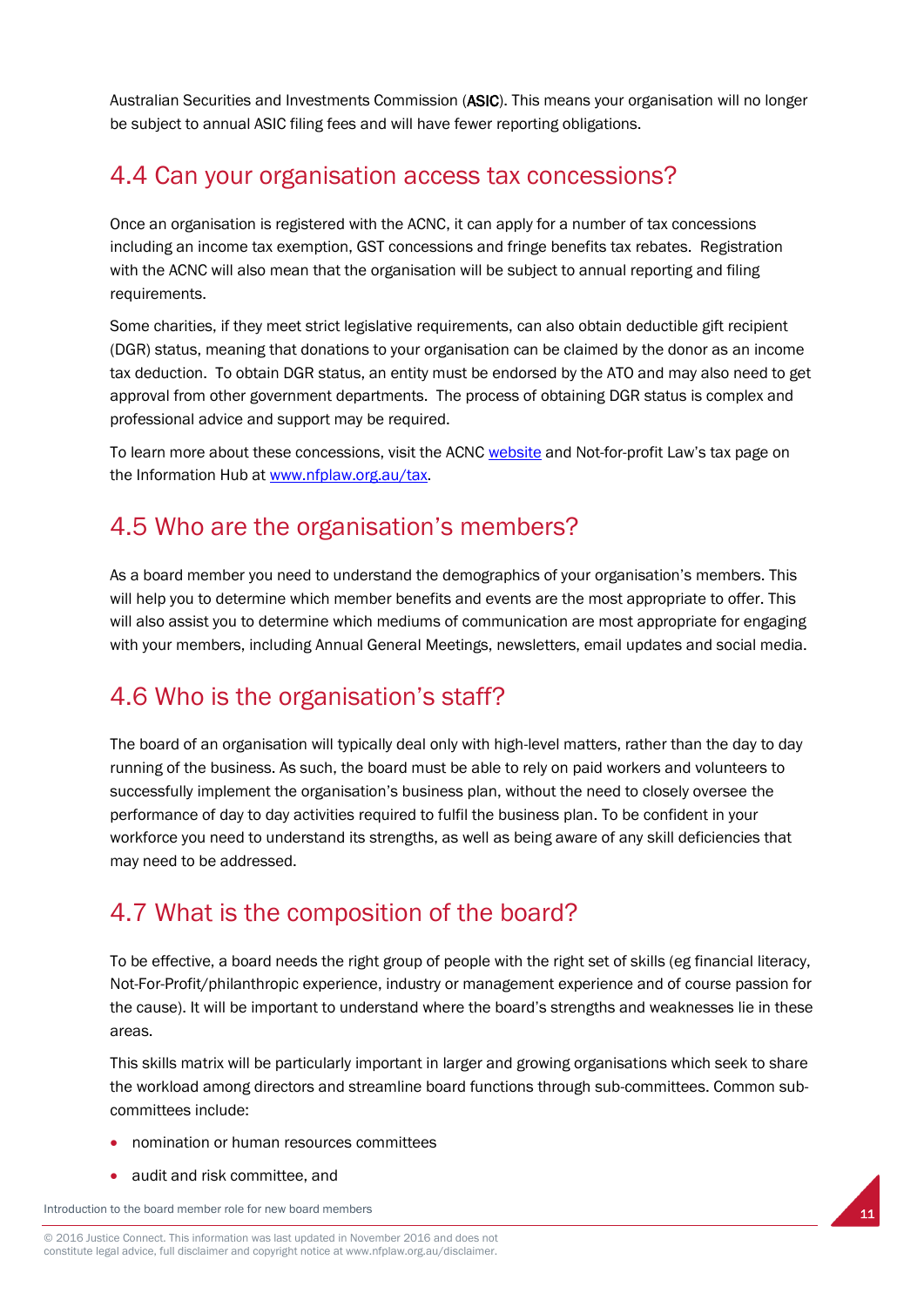Australian Securities and Investments Commission (ASIC). This means your organisation will no longer be subject to annual ASIC filing fees and will have fewer reporting obligations.

### 4.4 Can your organisation access tax concessions?

Once an organisation is registered with the ACNC, it can apply for a number of tax concessions including an income tax exemption, GST concessions and fringe benefits tax rebates. Registration with the ACNC will also mean that the organisation will be subject to annual reporting and filing requirements.

Some charities, if they meet strict legislative requirements, can also obtain deductible gift recipient (DGR) status, meaning that donations to your organisation can be claimed by the donor as an income tax deduction. To obtain DGR status, an entity must be endorsed by the ATO and may also need to get approval from other government departments. The process of obtaining DGR status is complex and professional advice and support may be required.

To learn more about these concessions, visit the ACN[C website](https://www.acnc.gov.au/ACNC/Pblctns/Factsheets/ACNC/FTS/Fact_ConcAvail.aspx) and Not-for-profit Law's tax page on the Information Hub at [www.nfplaw.org.au/tax.](http://www.nfplaw.org.au/tax)

## 4.5 Who are the organisation's members?

As a board member you need to understand the demographics of your organisation's members. This will help you to determine which member benefits and events are the most appropriate to offer. This will also assist you to determine which mediums of communication are most appropriate for engaging with your members, including Annual General Meetings, newsletters, email updates and social media.

## 4.6 Who is the organisation's staff?

The board of an organisation will typically deal only with high-level matters, rather than the day to day running of the business. As such, the board must be able to rely on paid workers and volunteers to successfully implement the organisation's business plan, without the need to closely oversee the performance of day to day activities required to fulfil the business plan. To be confident in your workforce you need to understand its strengths, as well as being aware of any skill deficiencies that may need to be addressed.

## 4.7 What is the composition of the board?

To be effective, a board needs the right group of people with the right set of skills (eg financial literacy, Not-For-Profit/philanthropic experience, industry or management experience and of course passion for the cause). It will be important to understand where the board's strengths and weaknesses lie in these areas.

This skills matrix will be particularly important in larger and growing organisations which seek to share the workload among directors and streamline board functions through sub-committees. Common subcommittees include:

- nomination or human resources committees
- audit and risk committee, and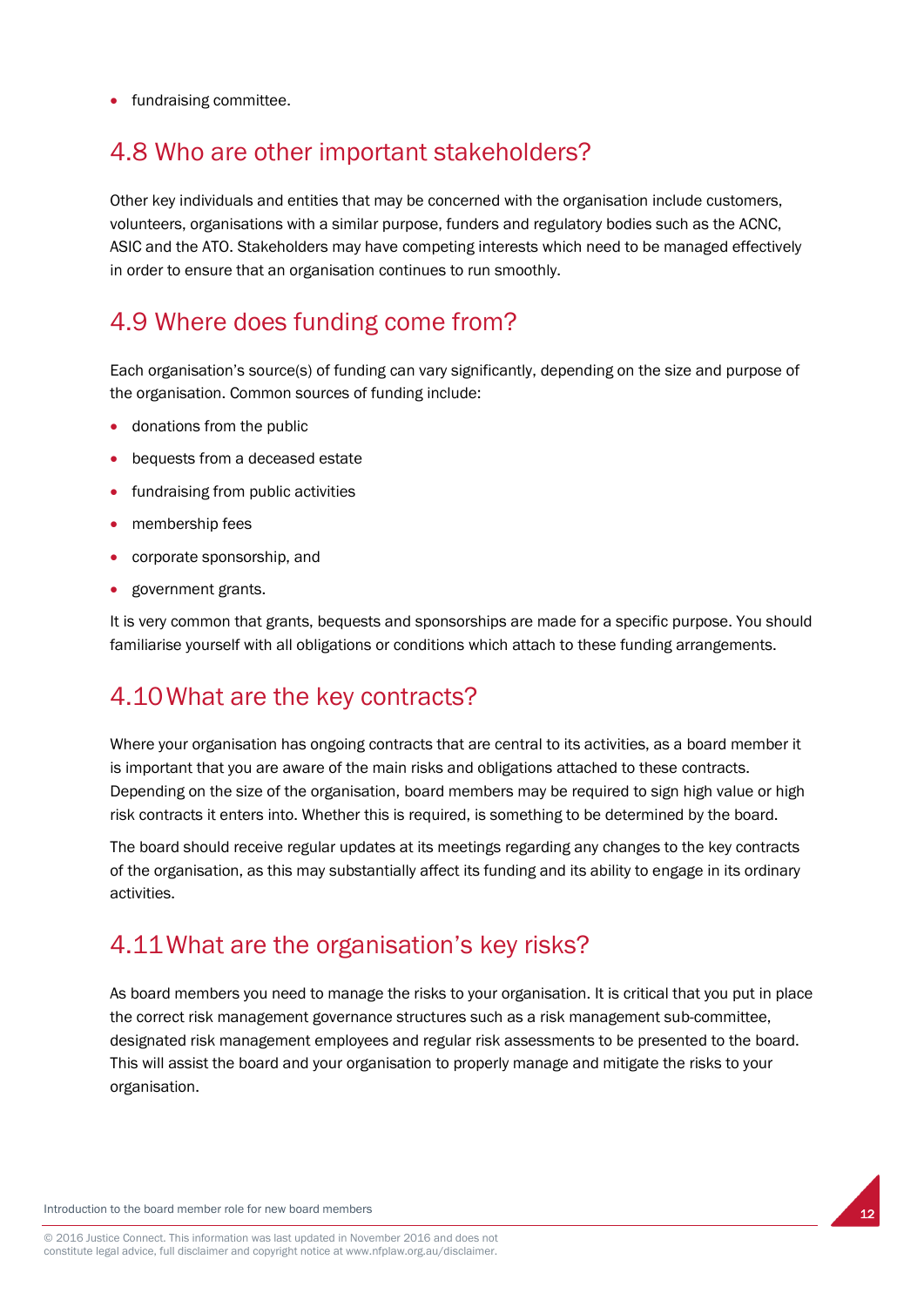• fundraising committee.

### 4.8 Who are other important stakeholders?

Other key individuals and entities that may be concerned with the organisation include customers, volunteers, organisations with a similar purpose, funders and regulatory bodies such as the ACNC, ASIC and the ATO. Stakeholders may have competing interests which need to be managed effectively in order to ensure that an organisation continues to run smoothly.

## 4.9 Where does funding come from?

Each organisation's source(s) of funding can vary significantly, depending on the size and purpose of the organisation. Common sources of funding include:

- donations from the public
- bequests from a deceased estate
- fundraising from public activities
- membership fees
- corporate sponsorship, and
- government grants.

It is very common that grants, bequests and sponsorships are made for a specific purpose. You should familiarise yourself with all obligations or conditions which attach to these funding arrangements.

#### 4.10What are the key contracts?

Where your organisation has ongoing contracts that are central to its activities, as a board member it is important that you are aware of the main risks and obligations attached to these contracts. Depending on the size of the organisation, board members may be required to sign high value or high risk contracts it enters into. Whether this is required, is something to be determined by the board.

The board should receive regular updates at its meetings regarding any changes to the key contracts of the organisation, as this may substantially affect its funding and its ability to engage in its ordinary activities.

#### 4.11What are the organisation's key risks?

As board members you need to manage the risks to your organisation. It is critical that you put in place the correct risk management governance structures such as a risk management sub-committee, designated risk management employees and regular risk assessments to be presented to the board. This will assist the board and your organisation to properly manage and mitigate the risks to your organisation.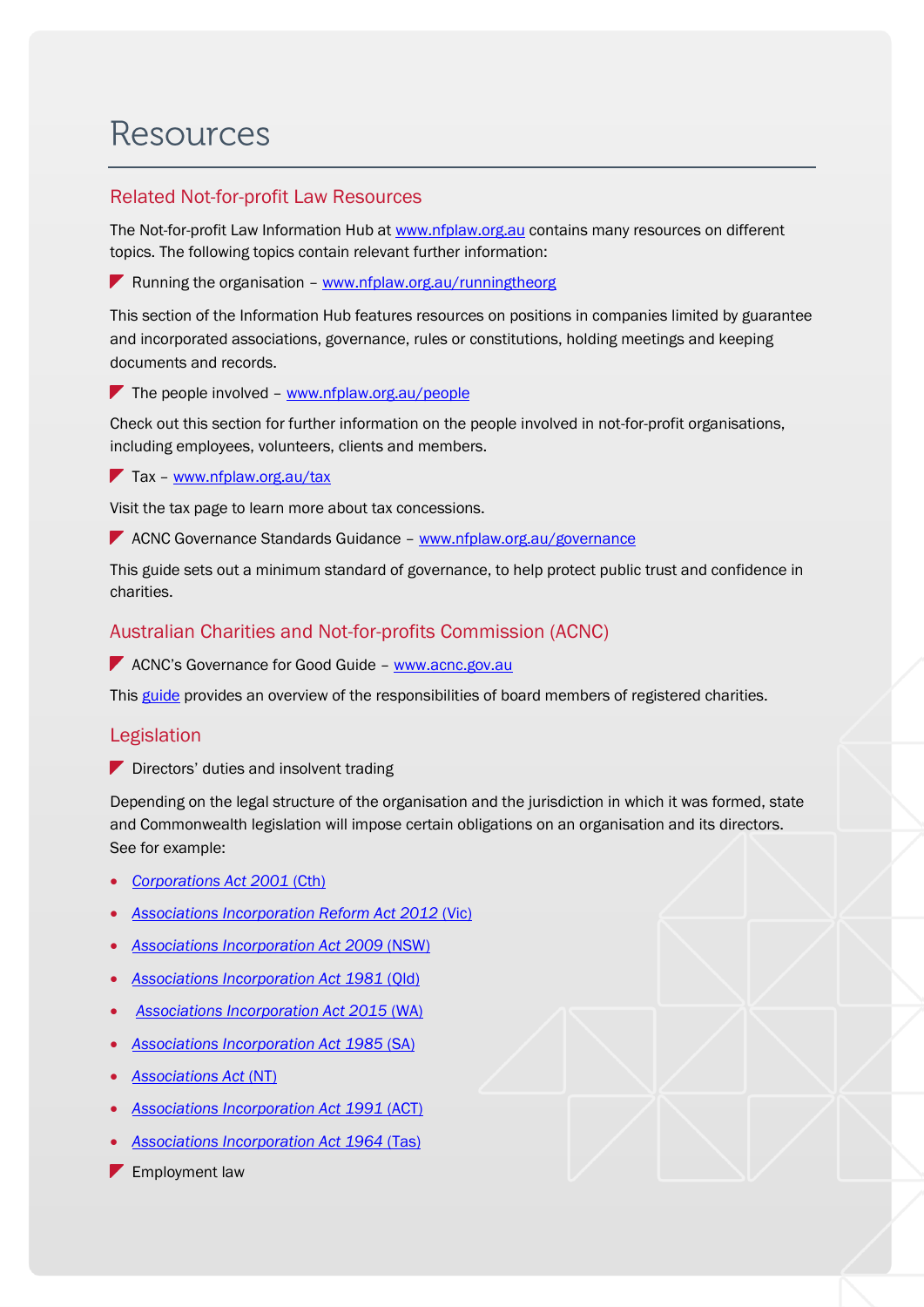# **Resources**

#### Related Not-for-profit Law Resources

The Not-for-profit Law Information Hub at [www.nfplaw.org.au](http://www.nfplaw.org.au/) contains many resources on different topics. The following topics contain relevant further information:

**P** Running the organisation – [www.nfplaw.org.au/runningtheorg](http://www.nfplaw.org.au/runningtheorg)

This section of the Information Hub features resources on positions in companies limited by guarantee and incorporated associations, governance, rules or constitutions, holding meetings and keeping documents and records.

The people involved –  $www.nfplaw.org.au/people$ 

Check out this section for further information on the people involved in not-for-profit organisations, including employees, volunteers, clients and members.

Tax - [www.nfplaw.org.au/tax](http://www.nfplaw.org.au/tax)

Visit the tax page to learn more about tax concessions.

**ACNC Governance Standards Guidance - [www.nfplaw.org.au/governance](http://www.nfplaw.org.au/governance)** 

This guide sets out a minimum standard of governance, to help protect public trust and confidence in charities.

#### Australian Charities and Not-for-profits Commission (ACNC)

**ACNC's Governance for Good Guide – [www.acnc.gov.au](http://www.acnc.gov.au/)** 

Thi[s guide](http://www.acnc.gov.au/ACNC/manage/tools/ACNC/edu/tools/GFG/GFG_Intro.aspx) provides an overview of the responsibilities of board members of registered charities.

#### Legislation

Directors' duties and insolvent trading

Depending on the legal structure of the organisation and the jurisdiction in which it was formed, state and Commonwealth legislation will impose certain obligations on an organisation and its directors. See for example:

- *[Corporations Act 2001](http://www.austlii.edu.au/au/legis/cth/consol_act/ca2001172/)* (Cth)
- *[Associations Incorporation Reform Act 2012](http://www.austlii.edu.au/au/legis/vic/consol_act/aira2012376/)* (Vic)
- *[Associations Incorporation Act 2009](http://www.austlii.edu.au/au/legis/nsw/consol_act/aia2009307/)* (NSW)
- *[Associations Incorporation Act 1981](http://www.austlii.edu.au/au/legis/qld/consol_act/aia1981307/)* (Qld)
- *[Associations Incorporation Act 2015](https://www.slp.wa.gov.au/pco/prod/FileStore.nsf/Documents/MRDocument:28217P/$FILE/Associations%20Incorporation%20Act%202015%20-%20%5b00-00-00%5d.pdf?OpenElement)* (WA)
- *[Associations Incorporation Act 1985](https://www.slp.wa.gov.au/pco/prod/FileStore.nsf/Documents/MRDocument:28217P/$FILE/Associations%20Incorporation%20Act%202015%20-%20%5b00-00-00%5d.pdf?OpenElement)* (SA)
- *[Associations Act](http://www.austlii.edu.au/au/legis/nt/consol_act/aa153/)* (NT)
- *[Associations Incorporation Act 1991](http://www.legislation.act.gov.au/a/1991-46/current/pdf/1991-46.pdf)* (ACT)
- *[Associations Incorporation Act 1964](http://www.austlii.edu.au/au/legis/tas/consol_act/aia1964307/)* (Tas)
- **F** Employment law